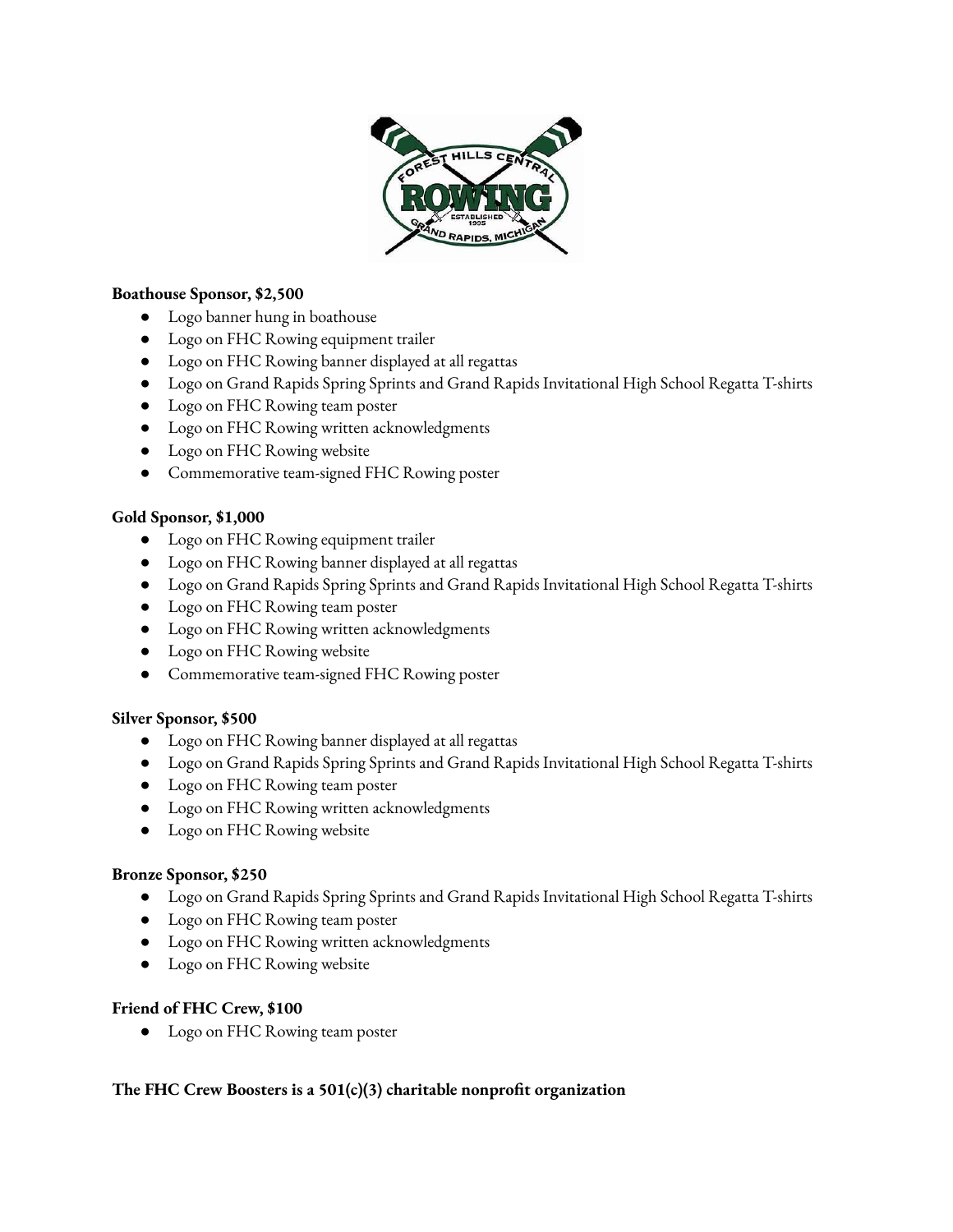

# **Boathouse Sponsor, \$2,500**

- Logo banner hung in boathouse
- Logo on FHC Rowing equipment trailer
- Logo on FHC Rowing banner displayed at all regattas
- Logo on Grand Rapids Spring Sprints and Grand Rapids Invitational High School Regatta T-shirts
- Logo on FHC Rowing team poster
- Logo on FHC Rowing written acknowledgments
- Logo on FHC Rowing website
- Commemorative team-signed FHC Rowing poster

### **Gold Sponsor, \$1,000**

- Logo on FHC Rowing equipment trailer
- Logo on FHC Rowing banner displayed at all regattas
- Logo on Grand Rapids Spring Sprints and Grand Rapids Invitational High School Regatta T-shirts
- Logo on FHC Rowing team poster
- Logo on FHC Rowing written acknowledgments
- Logo on FHC Rowing website
- Commemorative team-signed FHC Rowing poster

#### **Silver Sponsor, \$500**

- Logo on FHC Rowing banner displayed at all regattas
- Logo on Grand Rapids Spring Sprints and Grand Rapids Invitational High School Regatta T-shirts
- Logo on FHC Rowing team poster
- Logo on FHC Rowing written acknowledgments
- Logo on FHC Rowing website

#### **Bronze Sponsor, \$250**

- Logo on Grand Rapids Spring Sprints and Grand Rapids Invitational High School Regatta T-shirts
- Logo on FHC Rowing team poster
- Logo on FHC Rowing written acknowledgments
- Logo on FHC Rowing website

#### **Friend of FHC Crew, \$100**

● Logo on FHC Rowing team poster

# **The FHC Crew Boosters is a 501(c)(3) charitable nonprot organization**